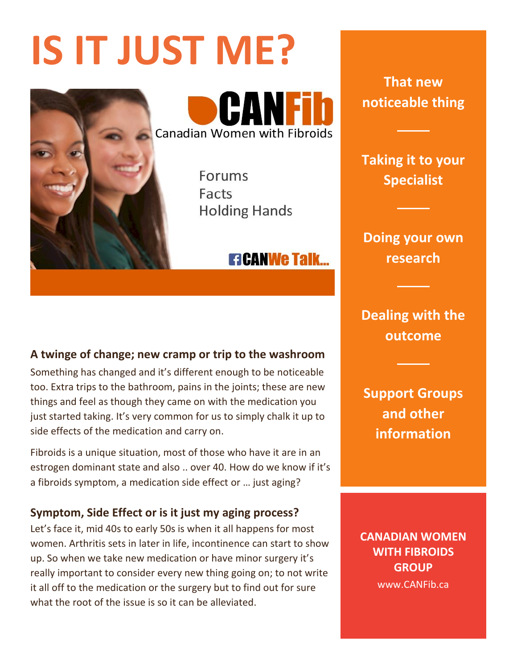# **IS IT JUST ME?**



CANE **Canadian Women with Fibroids** 

> Forums Facts **Holding Hands**

# **ETCANWE TAIK...**

## **A twinge of change; new cramp or trip to the washroom**

Something has changed and it's different enough to be noticeable too. Extra trips to the bathroom, pains in the joints; these are new things and feel as though they came on with the medication you just started taking. It's very common for us to simply chalk it up to side effects of the medication and carry on.

Fibroids is a unique situation, most of those who have it are in an estrogen dominant state and also .. over 40. How do we know if it's a fibroids symptom, a medication side effect or … just aging?

#### **Symptom, Side Effect or is it just my aging process?**

Let's face it, mid 40s to early 50s is when it all happens for most women. Arthritis sets in later in life, incontinence can start to show up. So when we take new medication or have minor surgery it's really important to consider every new thing going on; to not write it all off to the medication or the surgery but to find out for sure what the root of the issue is so it can be alleviated.

**That new noticeable thing**

**Taking it to your Specialist**

**Doing your own research**

**Dealing with the outcome**

**Support Groups and other information**

**CANADIAN WOMEN WITH FIBROIDS GROUP** www.CANFib.ca